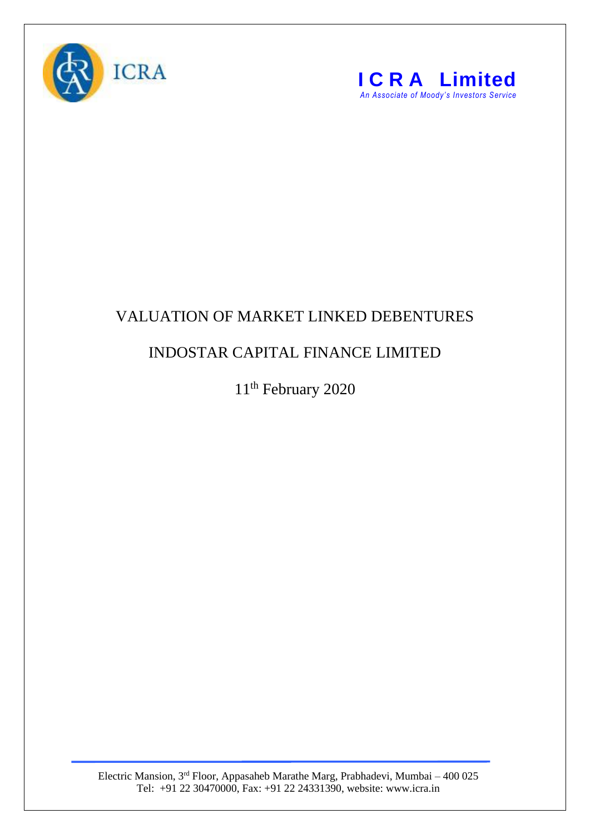



## VALUATION OF MARKET LINKED DEBENTURES

## INDOSTAR CAPITAL FINANCE LIMITED

11<sup>th</sup> February 2020

Electric Mansion, 3<sup>rd</sup> Floor, Appasaheb Marathe Marg, Prabhadevi, Mumbai – 400 025 Tel: +91 22 30470000, Fax: +91 22 24331390, website: www.icra.in